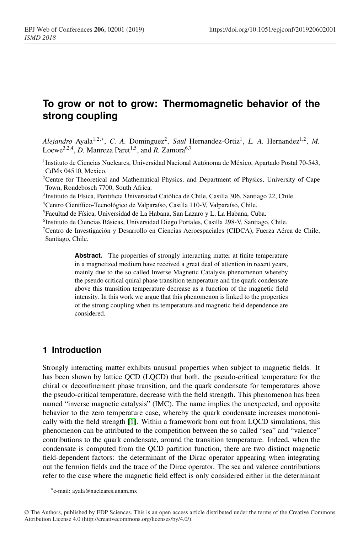# **To grow or not to grow: Thermomagnetic behavior of the strong coupling**

Alejandro Ayala<sup>1,2,∗</sup>, *C. A.* Dominguez<sup>2</sup>, *Saul* Hernandez-Ortiz<sup>1</sup>, *L. A.* Hernandez<sup>1,2</sup>, *M.* Loewe<sup>3,2,4</sup>, *D.* Manreza Paret<sup>1,5</sup>, and *R. Zamora*<sup>6,7</sup>

- 1 Instituto de Ciencias Nucleares, Universidad Nacional Autónoma de México, Apartado Postal 70-543, CdMx 04510, Mexico.
- <sup>2</sup>Centre for Theoretical and Mathematical Physics, and Department of Physics, University of Cape Town, Rondebosch 7700, South Africa.
- 3 Instituto de Física, Pontificia Universidad Católica de Chile, Casilla 306, Santiago 22, Chile.
- <sup>4</sup>Centro Científico-Tecnológico de Valparaíso, Casilla 110-V, Valparaíso, Chile.
- <sup>5</sup>Facultad de Física, Universidad de La Habana, San Lazaro y L, La Habana, Cuba.
- 6 Instituto de Ciencias Básicas, Universidad Diego Portales, Casilla 298-V, Santiago, Chile.
- <sup>7</sup>Centro de Investigación y Desarrollo en Ciencias Aeroespaciales (CIDCA), Fuerza Aérea de Chile, Santiago, Chile.

Abstract. The properties of strongly interacting matter at finite temperature in a magnetized medium have received a great deal of attention in recent years, mainly due to the so called Inverse Magnetic Catalysis phenomenon whereby the pseudo critical quiral phase transition temperature and the quark condensate above this transition temperature decrease as a function of the magnetic field intensity. In this work we argue that this phenomenon is linked to the properties of the strong coupling when its temperature and magnetic field dependence are considered.

## **1 Introduction**

Strongly interacting matter exhibits unusual properties when subject to magnetic fields. It has been shown by lattice QCD (LQCD) that both, the pseudo-critical temperature for the chiral or deconfinement phase transition, and the quark condensate for temperatures above the pseudo-critical temperature, decrease with the field strength. This phenomenon has been named "inverse magnetic catalysis" (IMC). The name implies the unexpected, and opposite behavior to the zero temperature case, whereby the quark condensate increases monotonically with the field strength [\[1\]](#page-7-0). Within a framework born out from LQCD simulations, this phenomenon can be attributed to the competition between the so called "sea" and "valence" contributions to the quark condensate, around the transition temperature. Indeed, when the condensate is computed from the QCD partition function, there are two distinct magnetic field-dependent factors: the determinant of the Dirac operator appearing when integrating out the fermion fields and the trace of the Dirac operator. The sea and valence contributions refer to the case where the magnetic field effect is only considered either in the determinant

<sup>∗</sup> e-mail: ayala@nucleares.unam.mx

<sup>©</sup> The Authors, published by EDP Sciences. This is an open access article distributed under the terms of the Creative Commons Attribution License 4.0 (http://creativecommons.org/licenses/by/4.0/).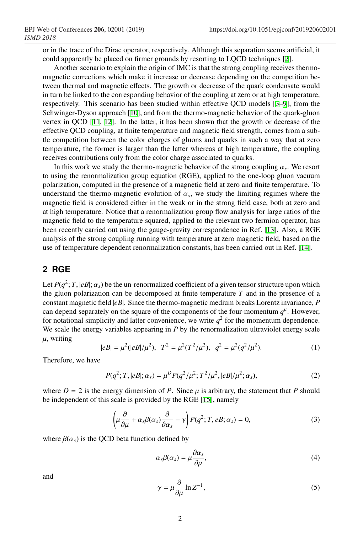or in the trace of the Dirac operator, respectively. Although this separation seems artificial, it could apparently be placed on firmer grounds by resorting to LQCD techniques [[2\]](#page-7-1).

Another scenario to explain the origin of IMC is that the strong coupling receives thermomagnetic corrections which make it increase or decrease depending on the competition between thermal and magnetic effects. The growth or decrease of the quark condensate would in turn be linked to the corresponding behavior of the coupling at zero or at high temperature, respectively. This scenario has been studied within effective QCD models [\[3](#page-7-2)–[9\]](#page-8-0), from the Schwinger-Dyson approach [[10\]](#page-8-1), and from the thermo-magnetic behavior of the quark-gluon vertex in QCD [[11,](#page-8-2) [12](#page-8-3)]. In the latter, it has been shown that the growth or decrease of the effective QCD coupling, at finite temperature and magnetic field strength, comes from a subtle competition between the color charges of gluons and quarks in such a way that at zero temperature, the former is larger than the latter whereas at high temperature, the coupling receives contributions only from the color charge associated to quarks.

In this work we study the thermo-magnetic behavior of the strong coupling  $\alpha_s$ . We resort sing the reportalization group equation (RGF) applied to the one-loop gluon vacuum to using the renormalization group equation (RGE), applied to the one-loop gluon vacuum polarization, computed in the presence of a magnetic field at zero and finite temperature. To understand the thermo-magnetic evolution of  $\alpha_s$ , we study the limiting regimes where the magnetic field is considered either in the weak or in the strong field case, both at zero and magnetic field is considered either in the weak or in the strong field case, both at zero and at high temperature. Notice that a renormalization group flow analysis for large ratios of the magnetic field to the temperature squared, applied to the relevant two fermion operator, has been recently carried out using the gauge-gravity correspondence in Ref. [\[13](#page-8-4)]. Also, a RGE analysis of the strong coupling running with temperature at zero magnetic field, based on the use of temperature dependent renormalization constants, has been carried out in Ref. [[14\]](#page-8-5).

## **2 RGE**

Let  $P(q^2; T, |eB|; \alpha_s)$  be the un-renormalized coefficient of a given tensor structure upon which<br>the gluon polarization can be decomposed at finite temperature T and in the presence of a the gluon polarization can be decomposed at finite temperature *T* and in the presence of a constant magnetic field |*eB*|. Since the thermo-magnetic medium breaks Lorentz invariance, *P* can depend separately on the square of the components of the four-momentum  $q^{\mu}$ . However, for notational simplicity and latter convenience, we write  $q^2$  for the momentum dependence. We scale the energy variables appearing in *P* by the renormalization ultraviolet energy scale  $\mu$ , writing

$$
|eB| = \mu^2(|eB|/\mu^2), \quad T^2 = \mu^2(T^2/\mu^2), \quad q^2 = \mu^2(q^2/\mu^2).
$$
 (1)

Therefore, we have

$$
P(q^2; T, |eB|; \alpha_s) = \mu^D P(q^2/\mu^2; T^2/\mu^2, |eB|/\mu^2; \alpha_s),
$$
\n(2)

where  $D = 2$  is the energy dimension of *P*. Since  $\mu$  is arbitrary, the statement that *P* should be independent of this scale is provided by the RGE [[15\]](#page-8-6), namely

<span id="page-1-0"></span>
$$
\left(\mu \frac{\partial}{\partial \mu} + \alpha_s \beta(\alpha_s) \frac{\partial}{\partial \alpha_s} - \gamma \right) P(q^2; T, eB; \alpha_s) = 0,
$$
\n(3)

where  $\beta(\alpha_s)$  is the QCD beta function defined by

$$
\alpha_s \beta(\alpha_s) = \mu \frac{\partial \alpha_s}{\partial \mu},\tag{4}
$$

and

$$
\gamma = \mu \frac{\partial}{\partial \mu} \ln Z^{-1},\tag{5}
$$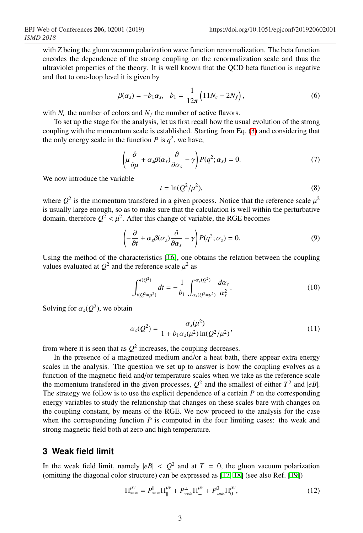with *Z* being the gluon vacuum polarization wave function renormalization. The beta function encodes the dependence of the strong coupling on the renormalization scale and thus the ultraviolet properties of the theory. It is well known that the QCD beta function is negative and that to one-loop level it is given by

$$
\beta(\alpha_s) = -b_1 \alpha_s, \quad b_1 = \frac{1}{12\pi} \left( 11 N_c - 2N_f \right), \tag{6}
$$

with  $N_c$  the number of colors and  $N_f$  the number of active flavors.

To set up the stage for the analysis, let us first recall how the usual evolution of the strong coupling with the momentum scale is established. Starting from Eq. [\(3\)](#page-1-0) and considering that the only energy scale in the function *P* is  $q^2$ , we have,

<span id="page-2-0"></span>
$$
\left(\mu \frac{\partial}{\partial \mu} + \alpha_s \beta(\alpha_s) \frac{\partial}{\partial \alpha_s} - \gamma \right) P(q^2; \alpha_s) = 0. \tag{7}
$$

We now introduce the variable

<span id="page-2-1"></span>
$$
t = \ln(Q^2/\mu^2),\tag{8}
$$

where  $Q^2$  is the momentum transfered in a given process. Notice that the reference scale  $\mu^2$ <br>is usually large enough, so as to make sure that the calculation is well within the perturbative is usually large enough, so as to make sure that the calculation is well within the perturbative domain, therefore  $Q^2 < \mu^2$ . After this change of variable, the RGE becomes

$$
\left(-\frac{\partial}{\partial t} + \alpha_s \beta(\alpha_s) \frac{\partial}{\partial \alpha_s} - \gamma\right) P(q^2; \alpha_s) = 0.
$$
\n(9)

Using the method of the characteristics [\[16\]](#page-8-7), one obtains the relation between the coupling values evaluated at  $Q^2$  and the reference scale  $\mu^2$  as

$$
\int_{t(Q^2=\mu^2)}^{t(Q^2)} dt = -\frac{1}{b_1} \int_{\alpha_s(Q^2=\mu^2)}^{\alpha_s(Q^2)} \frac{d\alpha_s}{\alpha_s^2}.
$$
 (10)

Solving for  $\alpha_s(Q^2)$ , we obtain

$$
\alpha_s(Q^2) = \frac{\alpha_s(\mu^2)}{1 + b_1 \alpha_s(\mu^2) \ln(Q^2/\mu^2)},
$$
\n(11)

from where it is seen that as  $Q^2$  increases, the coupling decreases.

In the presence of a magnetized medium and/or a heat bath, there appear extra energy scales in the analysis. The question we set up to answer is how the coupling evolves as a function of the magnetic field and/or temperature scales when we take as the reference scale the momentum transfered in the given processes,  $Q^2$  and the smallest of either  $T^2$  and  $|eB|$ . The strategy we follow is to use the explicit dependence of a certain *P* on the corresponding energy variables to study the relationship that changes on these scales bare with changes on the coupling constant, by means of the RGE. We now proceed to the analysis for the case when the corresponding function *P* is computed in the four limiting cases: the weak and strong magnetic field both at zero and high temperature.

#### **3 Weak field limit**

In the weak field limit, namely  $|eB| < Q^2$  and at  $T = 0$ , the gluon vacuum polarization (omitting the diagonal color structure) can be expressed as [17, 18] (see also Ref. [19]) (omitting the diagonal color structure) can be expressed as [\[17,](#page-8-8) [18\]](#page-8-9) (see also Ref. [\[19\]](#page-8-10))

$$
\Pi^{\mu\nu}_{\text{weak}} = P^{\parallel}_{\text{weak}} \Pi^{\mu\nu}_{\parallel} + P^{\perp}_{\text{weak}} \Pi^{\mu\nu}_{\perp} + P^0_{\text{weak}} \Pi^{\mu\nu}_{0}, \tag{12}
$$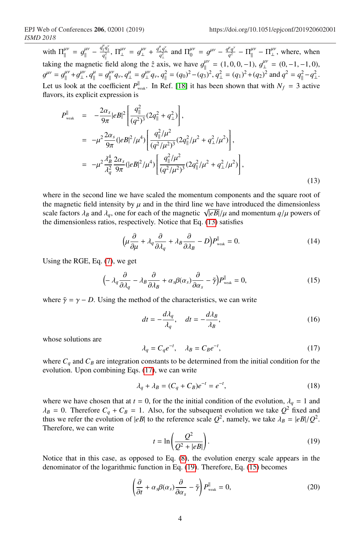with  $\Pi_{\parallel}^{\mu\nu} = g_{\parallel}^{\mu\nu} - \frac{q_{\parallel}^{\mu}q_{\parallel}^{\nu}}{q_{\parallel}^2}$ ,  $\Pi_{\perp}^{\mu\nu} = g_{\perp}^{\mu\nu} + \frac{q_{\perp}^{\mu}q_{\perp}^{\nu}}{q_{\perp}^2}$  and  $\Pi_{0}^{\mu\nu} = g^{\mu\nu} - \frac{q^{\mu}q^{\nu}}{q^2} - \Pi_{\parallel}^{\mu\nu} - \Pi_{\perp}^{\mu\nu}$ , where, when taking the magnetic field along the  $\hat{z}$  axis, we have  $g_{\parallel}^{dv} = (1, 0, 0, -1), g_{\perp}^{dv} = (0, -1, -1, 0),$ <br> $g_{\perp}^{dv} = g_{\perp}^{dv} g_{\perp}^{dv} g_{\perp}^{dv} = g_{\perp}^{dv} g_{\perp}^{dv} g_{\perp}^{d} = g_{\perp}^{2} g_{\perp}^{2} g_{\perp}^{d} = g_{\perp}^{2} g_{\perp}^{2} g_{\per$ Let us look at the coefficient  $P_{\text{weak}}^{\parallel}$ . In Ref. [\[18\]](#page-8-9) it has been shown that with  $N_f = 3$  active  $\mu v = g_{\parallel}^{\mu\nu} + g_{\perp}^{\mu\nu}, q_{\parallel}^{\mu} = g_{\parallel}^{\mu\nu} q_{\nu}, q_{\parallel}^{\mu} = (q_0)^2 - (q_3)^2, q_{\perp}^2 = (q_1)^2 + (q_2)^2$  and  $q^2 = q_{\parallel}^2 - q_{\perp}^2$ . flavors, its explicit expression is

<span id="page-3-0"></span>
$$
P_{\text{weak}}^{\parallel} = -\frac{2\alpha_s}{9\pi} |eB|^2 \left[ \frac{q_{\parallel}^2}{(q^2)^3} (2q_{\parallel}^2 + q_{\perp}^2) \right],
$$
  
\n
$$
= -\mu^2 \frac{2\alpha_s}{9\pi} (|eB|^2 / \mu^4) \left[ \frac{q_{\parallel}^2 / \mu^2}{(q^2 / \mu^2)^3} (2q_{\parallel}^2 / \mu^2 + q_{\perp}^2 / \mu^2) \right],
$$
  
\n
$$
= -\mu^2 \frac{\lambda_B^4}{\lambda_q^2} \frac{2\alpha_s}{9\pi} (|eB|^2 / \mu^4) \left[ \frac{q_{\parallel}^2 / \mu^2}{(q^2 / \mu^2)^3} (2q_{\parallel}^2 / \mu^2 + q_{\perp}^2 / \mu^2) \right],
$$
\n(13)

where in the second line we have scaled the momentum components and the square root of the magnetic field intensity by  $\mu$  and in the third line we have introduced the dimensionless ine magnetic field intensity by  $\mu$  and in the third line we have introduced the dimensionless<br>scale factors  $\lambda_B$  and  $\lambda_q$ , one for each of the magnetic  $\sqrt{|eB|}/\mu$  and momentum  $q/\mu$  powers of<br>the dimensionless ratios the dimensionless ratios, respectively. Notice that Eq. [\(13\)](#page-3-0) satisfies

<span id="page-3-4"></span>
$$
\left(\mu \frac{\partial}{\partial \mu} + \lambda_q \frac{\partial}{\partial \lambda_q} + \lambda_B \frac{\partial}{\partial \lambda_B} - D\right) P_{\text{weak}}^{\parallel} = 0. \tag{14}
$$

Using the RGE, Eq. [\(7\)](#page-2-0), we get

<span id="page-3-3"></span>
$$
\left(-\lambda_q \frac{\partial}{\partial \lambda_q} - \lambda_B \frac{\partial}{\partial \lambda_B} + \alpha_s \beta(\alpha_s) \frac{\partial}{\partial \alpha_s} - \tilde{\gamma}\right) P_{\text{weak}}^{\parallel} = 0, \tag{15}
$$

where  $\tilde{\gamma} = \gamma - D$ . Using the method of the characteristics, we can write

$$
dt = -\frac{d\lambda_q}{\lambda_q}, \quad dt = -\frac{d\lambda_B}{\lambda_B},
$$
\n(16)

whose solutions are

<span id="page-3-1"></span>
$$
\lambda_q = C_q e^{-t}, \quad \lambda_B = C_B e^{-t}, \tag{17}
$$

where  $C_q$  and  $C_B$  are integration constants to be determined from the initial condition for the evolution. Upon combining Eqs. [\(17\)](#page-3-1), we can write

$$
\lambda_q + \lambda_B = (C_q + C_B)e^{-t} = e^{-t},\tag{18}
$$

where we have chosen that at  $t = 0$ , for the the initial condition of the evolution,  $\lambda_q = 1$  and  $\lambda_B = 0$ . Therefore  $C_q + C_B = 1$ . Also, for the subsequent evolution we take  $Q^2$  fixed and thus we refer the evolution of  $|eB|$  to the reference scale  $Q^2$  namely we take  $\lambda_B = |eB|/Q^2$ thus we refer the evolution of  $|eB|$  to the reference scale  $Q^2$ , namely, we take  $\lambda_B = |eB|/Q^2$ .<br>Therefore we can write Therefore, we can write

<span id="page-3-2"></span>
$$
t = \ln\left(\frac{Q^2}{Q^2 + |eB|}\right). \tag{19}
$$

Notice that in this case, as opposed to Eq. [\(8\)](#page-2-1), the evolution energy scale appears in the denominator of the logarithmic function in Eq. [\(19\)](#page-3-2). Therefore, Eq. [\(15\)](#page-3-3) becomes

$$
\left(\frac{\partial}{\partial t} + \alpha_s \beta(\alpha_s) \frac{\partial}{\partial \alpha_s} - \tilde{\gamma}\right) P_{\text{weak}}^{\parallel} = 0,
$$
\n(20)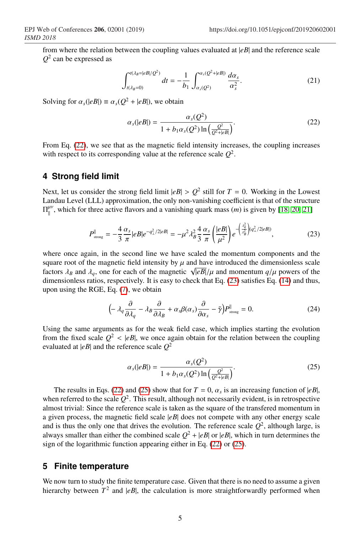from where the relation between the coupling values evaluated at |*eB*| and the reference scale *Q* 2 can be expressed as

$$
\int_{t(\lambda_B=0)}^{t(\lambda_B=|eB|/Q^2)} dt = -\frac{1}{b_1} \int_{\alpha_s(Q^2)}^{\alpha_s(Q^2+|eB|)} \frac{d\alpha_s}{\alpha_s^2}.
$$
 (21)

Solving for  $\alpha_s(|eB|) \equiv \alpha_s(Q^2 + |eB|)$ , we obtain

<span id="page-4-0"></span>
$$
\alpha_s(|eB|) = \frac{\alpha_s(Q^2)}{1 + b_1 \alpha_s(Q^2) \ln\left(\frac{Q^2}{Q^2 + |eB|}\right)}.
$$
\n(22)

From Eq. [\(22\)](#page-4-0), we see that as the magnetic field intensity increases, the coupling increases with respect to its corresponding value at the reference scale *Q* 2 .

## **4 Strong field limit**

Next, let us consider the strong field limit  $|eB| > Q^2$  still for  $T = 0$ . Working in the Lowest Landau Level (LLL) approximation, the only non-vanishing coefficient is that of the structure  $\Pi_{\parallel}^{\mu\nu}$ , which for three active flavors and a vanishing quark mass (*m*) is given by [\[18,](#page-8-9) [20,](#page-8-11) [21\]](#page-8-12)

<span id="page-4-1"></span>
$$
P_{\text{strong}}^{\parallel} = -\frac{4}{3} \frac{\alpha_s}{\pi} |eB| e^{-q_{\perp}^2/2|eB|} = -\mu^2 \lambda_B^2 \frac{4}{3} \frac{\alpha_s}{\pi} \left(\frac{|eB|}{\mu^2}\right) e^{-\left(\frac{\lambda_q^2}{\lambda_B^2}\right) (q_{\perp}^2/2|eB|)},\tag{23}
$$

where once again, in the second line we have scaled the momentum components and the square root of the magnetic field intensity by  $\mu$  and have introduced the dimensionless scale factors  $\lambda_B$  and  $\lambda_q$ , one for each of the magnetic  $\sqrt{|eB|}/\mu$  and momentum  $q/\mu$  powers of the dimensionless ratios respectively. It is easy to check that Eq. (23) satisfies Eq. (14) and thus dimensionless ratios, respectively. It is easy to check that Eq. [\(23\)](#page-4-1) satisfies Eq. [\(14\)](#page-3-4) and thus, upon using the RGE, Eq. [\(7\)](#page-2-0), we obtain

$$
\left(-\lambda_q \frac{\partial}{\partial \lambda_q} - \lambda_B \frac{\partial}{\partial \lambda_B} + \alpha_s \beta(\alpha_s) \frac{\partial}{\partial \alpha_s} - \tilde{\gamma}\right) P_{\text{strong}}^{\parallel} = 0. \tag{24}
$$

Using the same arguments as for the weak field case, which implies starting the evolution from the fixed scale  $Q^2 < |eB|$ , we once again obtain for the relation between the coupling evaluated at  $|eB|$  and the reference scale  $Q^2$ evaluated at |*eB*| and the reference scale *Q* 2

<span id="page-4-2"></span>
$$
\alpha_s(|eB|) = \frac{\alpha_s(Q^2)}{1 + b_1 \alpha_s(Q^2) \ln\left(\frac{Q^2}{Q^2 + |eB|}\right)}.
$$
\n(25)

The results in Eqs. [\(22\)](#page-4-0) and [\(25\)](#page-4-2) show that for  $T = 0$ ,  $\alpha_s$  is an increasing function of  $|eB|$ , when referred to the scale  $Q^2$ . This result, although not necessarily evident, is in retrospective almost trivial: Since the reference scale is taken as the square of the transfered momentum in a given process, the magnetic field scale  $|eB|$  does not compete with any other energy scale and is thus the only one that drives the evolution. The reference scale  $Q^2$ , although large, is always smaller than either the combined scale  $Q^2 + |eB|$  or  $|eB|$ , which in turn determines the sign of the logarithmic function appearing either in Eq. [\(22\)](#page-4-0) or [\(25\)](#page-4-2).

#### **5 Finite temperature**

We now turn to study the finite temperature case. Given that there is no need to assume a given hierarchy between  $T^2$  and  $|eB|$ , the calculation is more straightforwardly performed when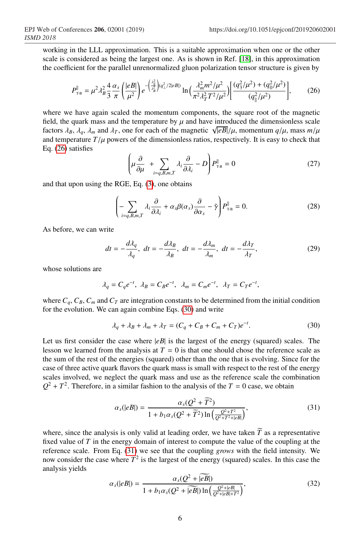working in the LLL approximation. This is a suitable approximation when one or the other scale is considered as being the largest one. As is shown in Ref. [\[18\]](#page-8-9), in this approximation the coefficient for the parallel unrenormalized gluon polarization tensor structure is given by

<span id="page-5-0"></span>
$$
P_{\text{TB}}^{\parallel} = \mu^2 \lambda_B^2 \frac{4}{3} \frac{\alpha_s}{\pi} \left( \frac{|eB|}{\mu^2} \right) e^{-\left( \frac{\lambda_q^2}{\lambda_B^2} \right) (q_\perp^2 / 2|eB|)} \ln \left( \frac{\lambda_m^2 m^2 / \mu^2}{\pi^2 \lambda_T^2 T^2 / \mu^2} \right) \left[ \frac{(q_3^2 / \mu^2) + (q_0^2 / \mu^2)}{(q_\parallel^2 / \mu^2)} \right],\tag{26}
$$

where we have again scaled the momentum components, the square root of the magnetic field, the quark mass and the temperature by  $\mu$  and have introduced the dimensionless scale factors  $\lambda_B$ ,  $\lambda_q$ ,  $\lambda_m$  and  $\lambda_T$ , one for each of the magnetic  $\sqrt{|eB|}/\mu$ , momentum  $q/\mu$ , mass  $m/\mu$ <br>and temperature  $T/\mu$  powers of the dimensionless ratios respectively. It is easy to check that and temperature  $T/\mu$  powers of the dimensionless ratios, respectively. It is easy to check that Eq. [\(26\)](#page-5-0) satisfies

$$
\left(\mu \frac{\partial}{\partial \mu} + \sum_{i=q, B, m, T} \lambda_i \frac{\partial}{\partial \lambda_i} - D\right) P_{\text{TB}}^{\parallel} = 0
$$
\n(27)

and that upon using the RGE, Eq. [\(3\)](#page-1-0), one obtains

$$
\left(-\sum_{i=q,B,m,T} \lambda_i \frac{\partial}{\partial \lambda_i} + \alpha_s \beta(\alpha_s) \frac{\partial}{\partial \alpha_s} - \tilde{\gamma} \right) P_{\text{TB}}^{\parallel} = 0. \tag{28}
$$

As before, we can write

$$
dt = -\frac{d\lambda_q}{\lambda_q}, \ dt = -\frac{d\lambda_B}{\lambda_B}, \ dt = -\frac{d\lambda_m}{\lambda_m}, \ dt = -\frac{d\lambda_T}{\lambda_T}, \tag{29}
$$

whose solutions are

<span id="page-5-1"></span>
$$
\lambda_q = C_q e^{-t}, \ \lambda_B = C_B e^{-t}, \ \lambda_m = C_m e^{-t}, \ \lambda_T = C_T e^{-t},
$$

where  $C_q$ ,  $C_B$ ,  $C_m$  and  $C_T$  are integration constants to be determined from the initial condition for the evolution. We can again combine Eqs. [\(30\)](#page-5-1) and write

$$
\lambda_q + \lambda_B + \lambda_m + \lambda_T = (C_q + C_B + C_m + C_T)e^{-t}.\tag{30}
$$

Let us first consider the case where  $|eB|$  is the largest of the energy (squared) scales. The lesson we learned from the analysis at  $T = 0$  is that one should chose the reference scale as the sum of the rest of the energies (squared) other than the one that is evolving. Since for the case of three active quark flavors the quark mass is small with respect to the rest of the energy scales involved, we neglect the quark mass and use as the reference scale the combination  $Q^2 + T^2$ . Therefore, in a similar fashion to the analysis of the *T* = 0 case, we obtain

<span id="page-5-2"></span>
$$
\alpha_s(|eB|) = \frac{\alpha_s(Q^2 + \tilde{T}^2)}{1 + b_1 \alpha_s(Q^2 + \tilde{T}^2) \ln\left(\frac{Q^2 + T^2}{Q^2 + T^2 + |eB|}\right)},
$$
\n(31)

where, since the analysis is only valid at leading order, we have taken  $\tilde{T}$  as a representative fixed value of *T* in the energy domain of interest to compute the value of the coupling at the reference scale. From Eq. [\(31\)](#page-5-2) we see that the coupling *grows* with the field intensity. We now consider the case where  $T^2$  is the largest of the energy (squared) scales. In this case the analysis yields

<span id="page-5-3"></span>
$$
\alpha_{s}(|eB|) = \frac{\alpha_{s}(Q^{2} + |\overline{eB}|)}{1 + b_{1}\alpha_{s}(Q^{2} + |\overline{eB}|) \ln\left(\frac{Q^{2} + |\overline{eB}|}{Q^{2} + |\overline{eB}| + T^{2}}\right)},
$$
\n(32)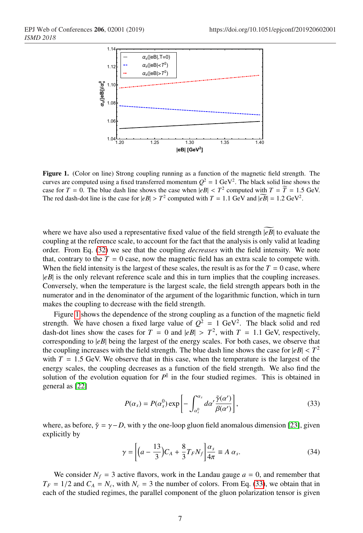

<span id="page-6-0"></span>Figure 1. (Color on line) Strong coupling running as a function of the magnetic field strength. The curves are computed using a fixed transferred momentum  $Q^2 = 1 \text{ GeV}^2$ . The black solid line shows the case for  $T = 0$ . The blue dash line shows the case when  $|eB| < T^2$  computed with  $T = \overline{T} = 1.5$  GeV.<br>The red dash-dot line is the case for  $|eB| > T^2$  computed with  $T = 1.1$  GeV and  $|\overline{eB}| = 1.2$  GeV<sup>2</sup>. The red dash-dot line is the case for  $|eB| > T^2$  computed with  $T = 1.1$  GeV and  $|e\overline{B}| = 1.2$  GeV<sup>2</sup>.

where we have also used a representative fixed value of the field strength  $|eB|$  to evaluate the coupling at the reference scale, to account for the fact that the analysis is only valid at leading order. From Eq. [\(32\)](#page-5-3) we see that the coupling *decreases* with the field intensity. We note that, contrary to the  $T = 0$  case, now the magnetic field has an extra scale to compete with. When the field intensity is the largest of these scales, the result is as for the  $T = 0$  case, where |*eB*| is the only relevant reference scale and this in turn implies that the coupling increases. Conversely, when the temperature is the largest scale, the field strength appears both in the numerator and in the denominator of the argument of the logarithmic function, which in turn makes the coupling to decrease with the field strength.

Figure [1](#page-6-0) shows the dependence of the strong coupling as a function of the magnetic field strength. We have chosen a fixed large value of  $Q^2 = 1 \text{ GeV}^2$ . The black solid and red dash-dot lines show the cases for  $T = 0$  and  $|eB| > T^2$ , with  $T = 1.1$  GeV, respectively, corresponding to  $|eB|$  being the largest of the energy scales. For both cases, we observe that corresponding to  $|eB|$  being the largest of the energy scales. For both cases, we observe that the coupling increases with the field strength. The blue dash line shows the case for  $|eB| < T^2$ <br>with  $T - 1.5$  GeV. We observe that in this case, when the temperature is the largest of the with  $T = 1.5$  GeV. We observe that in this case, when the temperature is the largest of the energy scales, the coupling decreases as a function of the field strength. We also find the solution of the evolution equation for  $P^{\parallel}$  in the four studied regimes. This is obtained in general as [\[22\]](#page-8-13)

<span id="page-6-1"></span>
$$
P(\alpha_s) = P(\alpha_s^0) \exp\left[-\int_{\alpha_s^0}^{\alpha_s} d\alpha' \frac{\tilde{\gamma}(\alpha')}{\beta(\alpha')}\right],\tag{33}
$$

where, as before,  $\tilde{\gamma} = \gamma - D$ , with  $\gamma$  the one-loop gluon field anomalous dimension [\[23\]](#page-8-14), given explicitly by

$$
\gamma = \left[ \left( a - \frac{13}{3} \right) C_A + \frac{8}{3} T_F N_f \right] \frac{\alpha_s}{4\pi} \equiv A \ \alpha_s. \tag{34}
$$

We consider  $N_f = 3$  active flavors, work in the Landau gauge  $a = 0$ , and remember that  $T_F = 1/2$  and  $C_A = N_c$ , with  $N_c = 3$  the number of colors. From Eq. [\(33\)](#page-6-1), we obtain that in each of the studied regimes, the parallel component of the gluon polarization tensor is given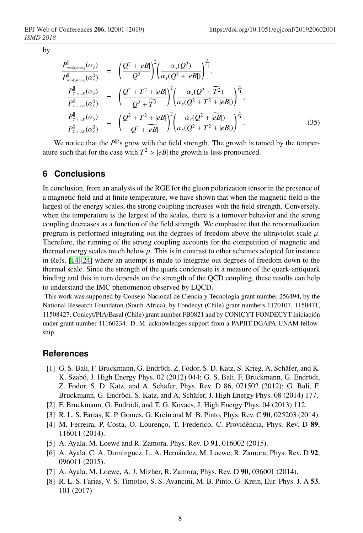by

$$
\frac{P_{\text{weak,strong}}^{||}(\alpha_{s})}{P_{\text{weak,strong}}^{||}(\alpha_{s}^{0})} = \left(\frac{Q^{2} + |eB|}{Q^{2}}\right)^{2} \left(\frac{\alpha_{s}(Q^{2})}{\alpha_{s}(Q^{2} + |eB|)}\right)^{\frac{A}{\beta_{1}}},
$$
\n
$$
\frac{P_{\text{r} < |eB|}^{||}(\alpha_{s})}{P_{\text{r} < |eB|}^{||}(\alpha_{s}^{0})} = \left(\frac{Q^{2} + T^{2} + |eB|}{Q^{2} + \widetilde{T}^{2}}\right)^{2} \left(\frac{\alpha_{s}(Q^{2} + \widetilde{T}^{2})}{\alpha_{s}(Q^{2} + T^{2} + |eB|)}\right)^{\frac{A}{\beta_{1}}},
$$
\n
$$
\frac{P_{\text{r} > |eB|}^{||}(\alpha_{s})}{P_{\text{r} > |eB|}^{||}(\alpha_{s}^{0})} = \left(\frac{Q^{2} + T^{2} + |eB|}{Q^{2} + |\widetilde{eB}|}\right)^{2} \left(\frac{\alpha_{s}(Q^{2} + |\widetilde{eB}|)}{\alpha_{s}(Q^{2} + T^{2} + |eB|)}\right)^{\frac{A}{\beta_{1}}}.
$$
\n(35)

We notice that the  $P^{\parallel}$ 's grow with the field strength. The growth is tamed by the temperature such that for the case with  $T^2 > |eB|$  the growth is less pronounced.

## **6 Conclusions**

In conclusion, from an analysis of the RGE for the gluon polarization tensor in the presence of a magnetic field and at finite temperature, we have shown that when the magnetic field is the largest of the energy scales, the strong coupling increases with the field strength. Conversely, when the temperature is the largest of the scales, there is a turnover behavior and the strong coupling decreases as a function of the field strength. We emphasize that the renormalization program is performed integrating out the degrees of freedom above the ultraviolet scale  $\mu$ . Therefore, the running of the strong coupling accounts for the competition of magnetic and thermal energy scales much below  $\mu$ . This is in contrast to other schemes adopted for instance in Refs. [\[14,](#page-8-5) [24\]](#page-8-15) where an attempt is made to integrate out degrees of freedom down to the thermal scale. Since the strength of the quark condensate is a measure of the quark-antiquark binding and this in turn depends on the strength of the QCD coupling, these results can help to understand the IMC phenomenon observed by LQCD.

This work was supported by Consejo Nacional de Ciencia y Tecnología grant number 256494, by the National Research Foundaton (South Africa), by Fondecyt (Chile) grant numbers 1170107, 1150471, 11508427, Conicyt/PIA/Basal (Chile) grant number FB0821 and by CONICYT FONDECYT Iniciación under grant number 11160234. D. M. acknowledges support from a PAPIIT-DGAPA-UNAM fellowship.

#### **References**

- <span id="page-7-0"></span>[1] G. S. Bali, F. Bruckmann, G. Endrödi, Z. Fodor, S. D. Katz, S. Krieg, A. Schäfer, and K. K. Szabó, J. High Energy Phys. 02 (2012) 044; G. S. Bali, F. Bruckmann, G. Endrödi, Z. Fodor, S. D. Katz, and A. Schäfer, Phys. Rev. D 86, 071502 (2012); G. Bali, F. Bruckmann, G. Endrödi, S. Katz, and A. Schäfer, J. High Energy Phys. 08 (2014) 177.
- <span id="page-7-1"></span>[2] F. Bruckmann, G. Endrödi, and T. G. Kovacs, J. High Energy Phys. 04 (2013) 112.
- <span id="page-7-2"></span>[3] R. L. S. Farias, K. P. Gomes, G. Krein and M. B. Pinto, Phys. Rev. C 90, 025203 (2014).
- [4] M. Ferreira, P. Costa, O. Lourenço, T. Frederico, C. Providência, Phys. Rev. D 89, 116011 (2014).
- [5] A. Ayala, M. Loewe and R. Zamora, Phys. Rev. D 91, 016002 (2015).
- [6] A. Ayala. C. A. Dominguez, L. A. Hernández, M. Loewe, R. Zamora, Phys. Rev. D 92, 096011 (2015).
- [7] A. Ayala, M. Loewe, A. J. Mizher, R. Zamora, Phys. Rev. D 90, 036001 (2014).
- [8] R. L. S. Farias, V. S. Timoteo, S. S. Avancini, M. B. Pinto, G. Krein, Eur. Phys. J. A 53, 101 (2017)